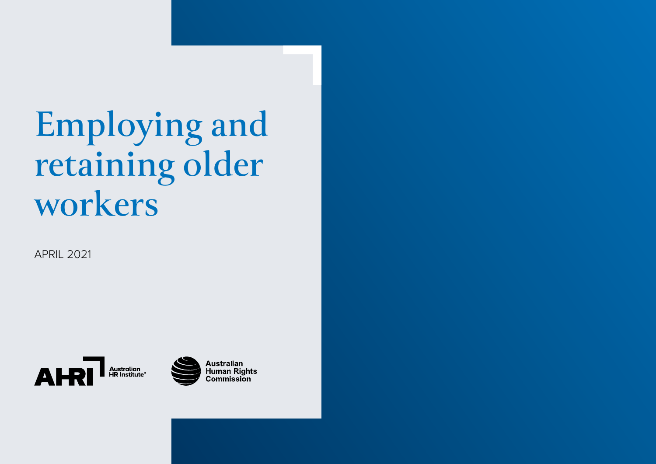# **Employing and retaining older workers**

APRIL 2021





**Australian<br>Human Rights Commission**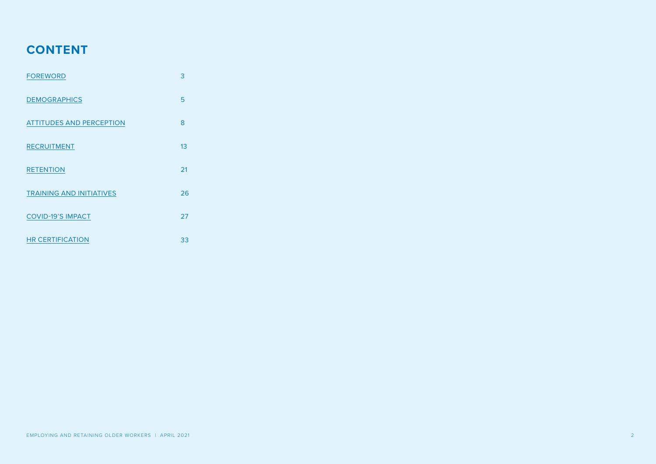### **CONTENT**

| <b>FOREWORD</b>                 | 3  |
|---------------------------------|----|
| <b>DEMOGRAPHICS</b>             | 5  |
| <b>ATTITUDES AND PERCEPTION</b> | 8  |
| <b>RECRUITMENT</b>              | 13 |
| <b>RETENTION</b>                | 21 |
| <b>TRAINING AND INITIATIVES</b> | 26 |
| <b>COVID-19'S IMPACT</b>        | 27 |
| <b>HR CERTIFICATION</b>         | 33 |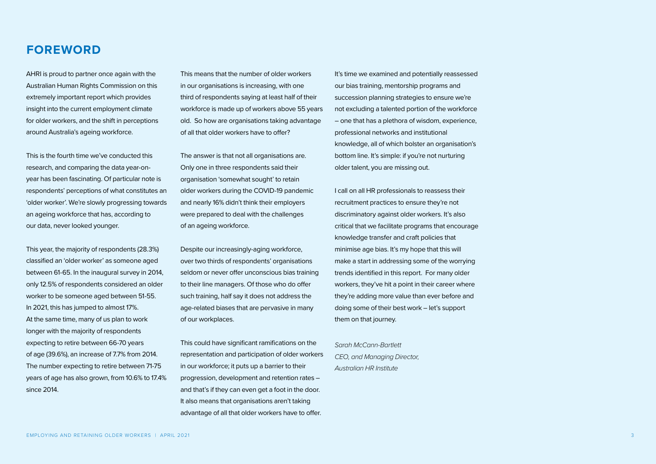### <span id="page-2-0"></span>**FOREWORD**

AHRI is proud to partner once again with the Australian Human Rights Commission on this extremely important report which provides insight into the current employment climate for older workers, and the shift in perceptions around Australia's ageing workforce.

This is the fourth time we've conducted this research, and comparing the data year-onyear has been fascinating. Of particular note is respondents' perceptions of what constitutes an 'older worker'. We're slowly progressing towards an ageing workforce that has, according to our data, never looked younger.

This year, the majority of respondents (28.3%) classified an 'older worker' as someone aged between 61-65. In the inaugural survey in 2014, only 12.5% of respondents considered an older worker to be someone aged between 51-55. In 2021, this has jumped to almost 17%. At the same time, many of us plan to work longer with the majority of respondents expecting to retire between 66-70 years of age (39.6%), an increase of 7.7% from 2014. The number expecting to retire between 71-75 years of age has also grown, from 10.6% to 17.4% since 2014.

This means that the number of older workers in our organisations is increasing, with one third of respondents saying at least half of their workforce is made up of workers above 55 years old. So how are organisations taking advantage of all that older workers have to offer?

The answer is that not all organisations are. Only one in three respondents said their organisation 'somewhat sought' to retain older workers during the COVID-19 pandemic and nearly 16% didn't think their employers were prepared to deal with the challenges of an ageing workforce.

Despite our increasingly-aging workforce, over two thirds of respondents' organisations seldom or never offer unconscious bias training to their line managers. Of those who do offer such training, half say it does not address the age-related biases that are pervasive in many of our workplaces.

This could have significant ramifications on the representation and participation of older workers in our workforce; it puts up a barrier to their progression, development and retention rates – and that's if they can even get a foot in the door. It also means that organisations aren't taking advantage of all that older workers have to offer.

It's time we examined and potentially reassessed our bias training, mentorship programs and succession planning strategies to ensure we're not excluding a talented portion of the workforce – one that has a plethora of wisdom, experience, professional networks and institutional knowledge, all of which bolster an organisation's bottom line. It's simple: if you're not nurturing older talent, you are missing out.

I call on all HR professionals to reassess their recruitment practices to ensure they're not discriminatory against older workers. It's also critical that we facilitate programs that encourage knowledge transfer and craft policies that minimise age bias. It's my hope that this will make a start in addressing some of the worrying trends identified in this report. For many older workers, they've hit a point in their career where they're adding more value than ever before and doing some of their best work – let's support them on that journey.

*Sarah McCann-Bartlett CEO, and Managing Director, Australian HR Institute*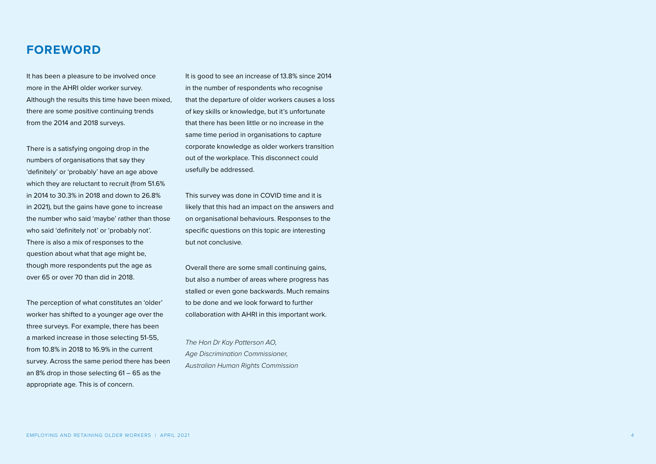### **FOREWORD**

It has been a pleasure to be involved once more in the AHRI older worker survey. Although the results this time have been mixed, there are some positive continuing trends from the 2014 and 2018 surveys.

There is a satisfying ongoing drop in the numbers of organisations that say they 'definitely' or 'probably' have an age above which they are reluctant to recruit (from 51.6% in 2014 to 30.3% in 2018 and down to 26.8% in 2021), but the gains have gone to increase the number who said 'maybe' rather than those who said 'definitely not' or 'probably not'. There is also a mix of responses to the question about what that age might be, though more respondents put the age as over 65 or over 70 than did in 2018.

The perception of what constitutes an 'older' worker has shifted to a younger age over the three surveys. For example, there has been a marked increase in those selecting 51-55, from 10.8% in 2018 to 16.9% in the current survey. Across the same period there has been an 8% drop in those selecting 61 – 65 as the appropriate age. This is of concern.

It is good to see an increase of 13.8% since 2014 in the number of respondents who recognise that the departure of older workers causes a loss of key skills or knowledge, but it's unfortunate that there has been little or no increase in the same time period in organisations to capture corporate knowledge as older workers transition out of the workplace. This disconnect could usefully be addressed.

This survey was done in COVID time and it is likely that this had an impact on the answers and on organisational behaviours. Responses to the specific questions on this topic are interesting but not conclusive.

Overall there are some small continuing gains, but also a number of areas where progress has stalled or even gone backwards. Much remains to be done and we look forward to further collaboration with AHRI in this important work.

*The Hon Dr Kay Patterson AO, Age Discrimination Commissioner, Australian Human Rights Commission*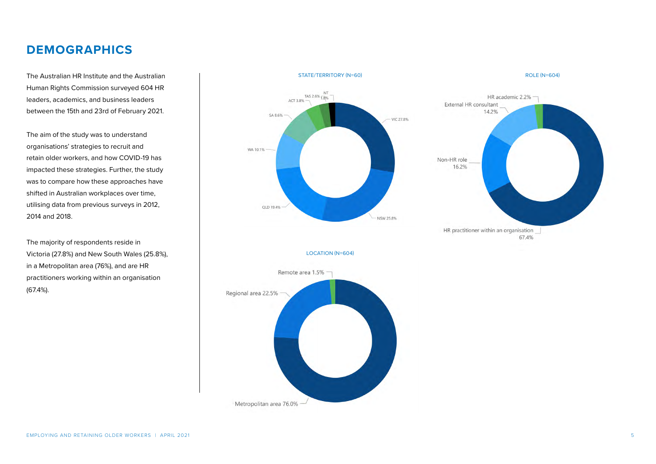### <span id="page-4-0"></span>**DEMOGRAPHICS**

The Australian HR Institute and the Australian Human Rights Commission surveyed 604 HR leaders, academics, and business leaders between the 15th and 23rd of February 2021.

The aim of the study was to understand organisations' strategies to recruit and retain older workers, and how COVID-19 has impacted these strategies. Further, the study was to compare how these approaches have shifted in Australian workplaces over time, utilising data from previous surveys in 2012, 2014 and 2018.

The majority of respondents reside in Victoria (27.8%) and New South Wales (25.8%), in a Metropolitan area (76%), and are HR practitioners working within an organisation (67.4%).



Metropolitan area 76.0%

ROLE (N=604)



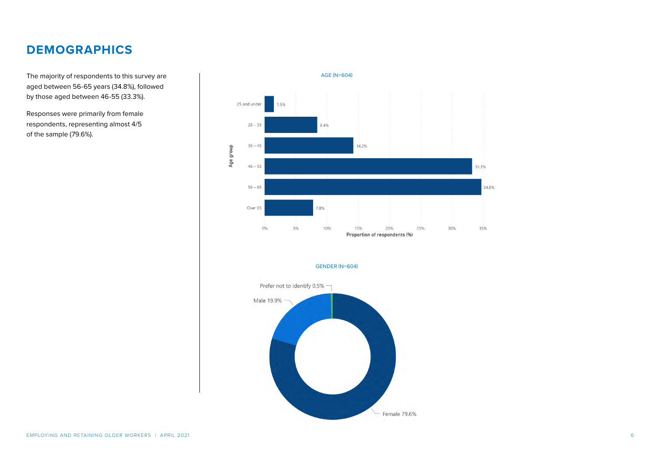### **DEMOGRAPHICS**

The majority of respondents to this survey are aged between 56-65 years (34.8%), followed by those aged between 46-55 (33.3%).

Responses were primarily from female respondents, representing almost 4/5 of the sample (79.6%).

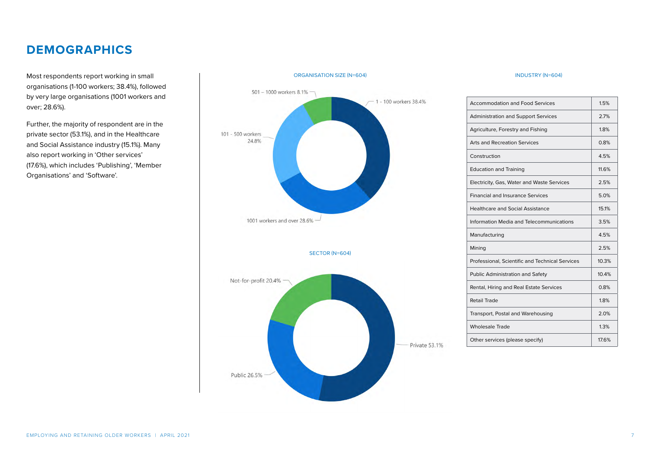### **DEMOGRAPHICS**

Most respondents report working in small organisations (1-100 workers; 38.4%), followed by very large organisations (1001 workers and over; 28.6%).

Further, the majority of respondent are in the private sector (53.1%), and in the Healthcare and Social Assistance industry (15.1%). Many also report working in 'Other services' (17.6%), which includes 'Publishing', 'Member Organisations' and 'Software'.



#### ORGANISATION SIZE (N=604)

#### INDUSTRY (N=604)

| Accommodation and Food Services                 | 15%   |
|-------------------------------------------------|-------|
| <b>Administration and Support Services</b>      | 2.7%  |
| Agriculture, Forestry and Fishing               | 18%   |
| Arts and Recreation Services                    | 0.8%  |
| Construction                                    | 45%   |
| <b>Education and Training</b>                   | 11.6% |
| Electricity, Gas, Water and Waste Services      | 2.5%  |
| <b>Financial and Insurance Services</b>         | 5.0%  |
| <b>Healthcare and Social Assistance</b>         | 15.1% |
| Information Media and Telecommunications        | 3.5%  |
| Manufacturing                                   | 4.5%  |
| Mining                                          | 2.5%  |
| Professional, Scientific and Technical Services | 10.3% |
| <b>Public Administration and Safety</b>         | 10.4% |
| Rental, Hiring and Real Estate Services         | 0.8%  |
| Retail Trade                                    | 1.8%  |
| Transport, Postal and Warehousing               | 20%   |
| <b>Wholesale Trade</b>                          | 1.3%  |
| Other services (please specify)                 | 176%  |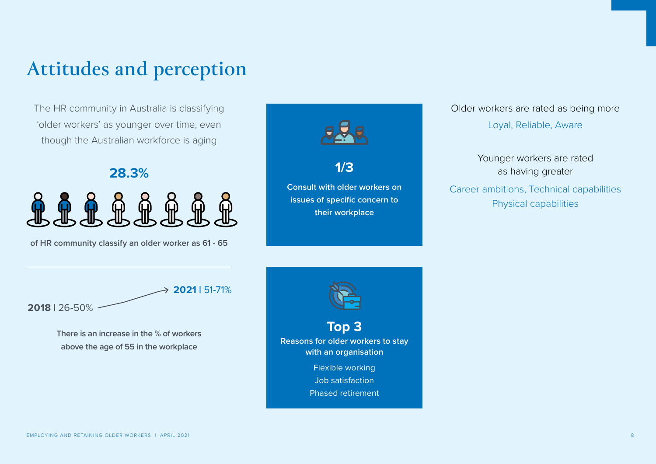## <span id="page-7-0"></span>**Attitudes and perception**

The HR community in Australia is classifying 'older workers' as younger over time, even though the Australian workforce is aging

**28.3%**

**of HR community classify an older worker as 61 - 65**



### Older workers are rated as being more

Loyal, Reliable, Aware

Younger workers are rated as having greater

Career ambitions, Technical capabilities Physical capabilities

**2018 |** 26-50% **2021 |** 51-71%

> **There is an increase in the % of workers above the age of 55 in the workplace**



[EMPLOYING AND RETAINING OLDER WORKERS | APRIL 2021](https://www.ahri.com.au/resources/ahri-research/covid-19-and-hrs-wellbeing-report/#report)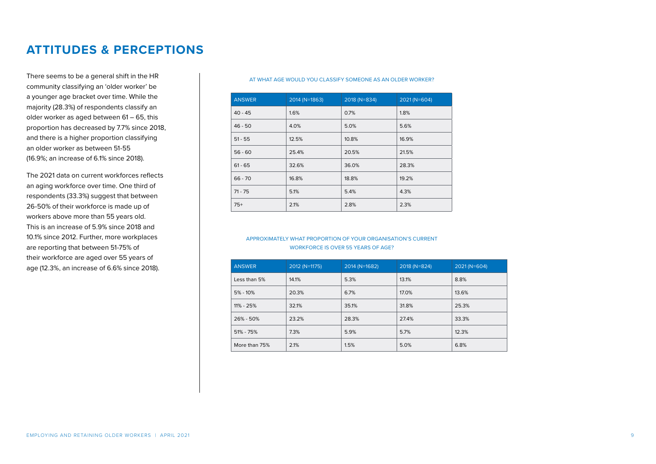There seems to be a general shift in the HR community classifying an 'older worker' be a younger age bracket over time. While the majority (28.3%) of respondents classify an older worker as aged between 61 – 65, this proportion has decreased by 7.7% since 2018, and there is a higher proportion classifying an older worker as between 51-55 (16.9%; an increase of 6.1% since 2018).

The 2021 data on current workforces reflects an aging workforce over time. One third of respondents (33.3%) suggest that between 26-50% of their workforce is made up of workers above more than 55 years old. This is an increase of 5.9% since 2018 and 10.1% since 2012. Further, more workplaces are reporting that between 51-75% of their workforce are aged over 55 years of age (12.3%, an increase of 6.6% since 2018).

#### AT WHAT AGE WOULD YOU CLASSIFY SOMEONE AS AN OLDER WORKER?

| <b>ANSWER</b> | $2014$ (N=1863) | 2018 (N=834) | 2021 (N=604) |
|---------------|-----------------|--------------|--------------|
| $40 - 45$     | 1.6%            | 0.7%         | 1.8%         |
| $46 - 50$     | 4.0%            | 5.0%         | 5.6%         |
| $51 - 55$     | 12.5%           | 10.8%        | 16.9%        |
| $56 - 60$     | 25.4%           | 20.5%        | 21.5%        |
| $61 - 65$     | 32.6%           | 36.0%        | 28.3%        |
| $66 - 70$     | 16.8%           | 18.8%        | 19.2%        |
| $71 - 75$     | 5.1%            | 5.4%         | 4.3%         |
| $75+$         | 2.1%            | 2.8%         | 2.3%         |
|               |                 |              |              |

#### APPROXIMATELY WHAT PROPORTION OF YOUR ORGANISATION'S CURRENT WORKFORCE IS OVER 55 YEARS OF AGE?

| <b>ANSWER</b> | 2012 (N=1175) | 2014 (N=1682) | 2018 (N=824) | 2021 (N=604) |
|---------------|---------------|---------------|--------------|--------------|
| Less than 5%  | 14.1%         | 5.3%          | 13.1%        | 8.8%         |
| $5\% - 10\%$  | 20.3%         | 6.7%          | 17.0%        | 13.6%        |
| $11\% - 25\%$ | 32.1%         | 35.1%         | 31.8%        | 25.3%        |
| 26% - 50%     | 23.2%         | 28.3%         | 27.4%        | 33.3%        |
| $51\% - 75\%$ | 7.3%          | 5.9%          | 5.7%         | 12.3%        |
| More than 75% | 2.1%          | 1.5%          | 5.0%         | 6.8%         |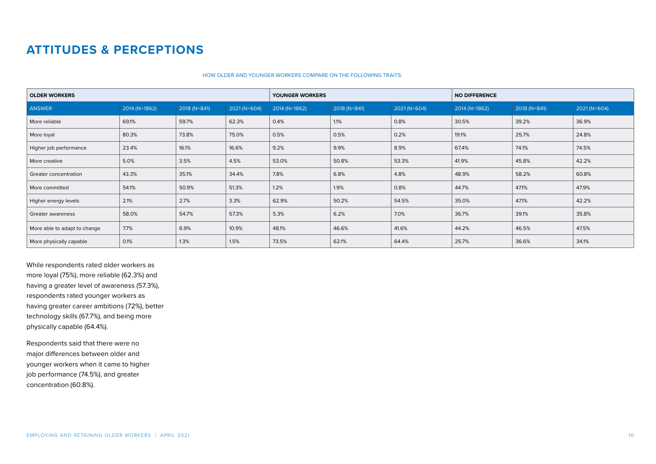#### HOW OLDER AND YOUNGER WORKERS COMPARE ON THE FOLLOWING TRAITS:

| <b>OLDER WORKERS</b>         |               |              | YOUNGER WORKERS |               | <b>NO DIFFERENCE</b> |              |               |              |               |
|------------------------------|---------------|--------------|-----------------|---------------|----------------------|--------------|---------------|--------------|---------------|
| <b>ANSWER</b>                | 2014 (N=1862) | 2018 (N=841) | 2021 (N=604)    | 2014 (N=1862) | 2018 (N=841)         | 2021 (N=604) | 2014 (N=1862) | 2018 (N=841) | $2021(N=604)$ |
| More reliable                | 69.1%         | 59.7%        | 62.3%           | 0.4%          | 1.1%                 | 0.8%         | 30.5%         | 39.2%        | 36.9%         |
| More loyal                   | 80.3%         | 73.8%        | 75.0%           | 0.5%          | 0.5%                 | 0.2%         | 19.1%         | 25.7%        | 24.8%         |
| Higher job performance       | 23.4%         | 16.1%        | 16.6%           | 9.2%          | 9.9%                 | 8.9%         | 67.4%         | 74.1%        | 74.5%         |
| More creative                | 5.0%          | 3.5%         | 4.5%            | 53.0%         | 50.8%                | 53.3%        | 41.9%         | 45.8%        | 42.2%         |
| Greater concentration        | 43.3%         | 35.1%        | 34.4%           | 7.8%          | 6.8%                 | 4.8%         | 48.9%         | 58.2%        | 60.8%         |
| More committed               | 54.1%         | 50.9%        | 51.3%           | 1.2%          | 1.9%                 | 0.8%         | 44.7%         | 47.1%        | 47.9%         |
| Higher energy levels         | 2.1%          | 2.7%         | 3.3%            | 62.9%         | 50.2%                | 54.5%        | 35.0%         | 47.1%        | 42.2%         |
| Greater awareness            | 58.0%         | 54.7%        | 57.3%           | 5.3%          | 6.2%                 | 7.0%         | 36.7%         | 39.1%        | 35.8%         |
| More able to adapt to change | 7.7%          | 6.9%         | 10.9%           | 48.1%         | 46.6%                | 41.6%        | 44.2%         | 46.5%        | 47.5%         |
| More physically capable      | 0.1%          | 1.3%         | 1.5%            | 73.5%         | 62.1%                | 64.4%        | 25.7%         | 36.6%        | 34.1%         |

While respondents rated older workers as more loyal (75%), more reliable (62.3%) and having a greater level of awareness (57.3%), respondents rated younger workers as having greater career ambitions (72%), better technology skills (67.7%), and being more physically capable (64.4%).

Respondents said that there were no major differences between older and younger workers when it came to higher job performance (74.5%), and greater concentration (60.8%).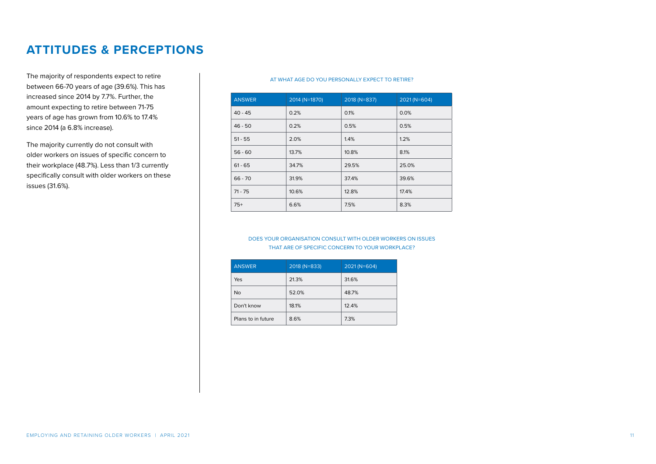The majority of respondents expect to retire between 66-70 years of age (39.6%). This has increased since 2014 by 7.7%. Further, the amount expecting to retire between 71-75 years of age has grown from 10.6% to 17.4% since 2014 (a 6.8% increase).

The majority currently do not consult with older workers on issues of specific concern to their workplace (48.7%). Less than 1/3 currently specifically consult with older workers on these issues (31.6%).

#### AT WHAT AGE DO YOU PERSONALLY EXPECT TO RETIRE?

| <b>ANSWER</b> | 2014 (N=1870) | 2018 (N=837) | $2021(N=604)$ |
|---------------|---------------|--------------|---------------|
| $40 - 45$     | 0.2%          | 0.1%         | 0.0%          |
| $46 - 50$     | 0.2%          | 0.5%         | 0.5%          |
| $51 - 55$     | 2.0%          | 1.4%         | 1.2%          |
| $56 - 60$     | 13.7%         | 10.8%        | 8.1%          |
| $61 - 65$     | 34.7%         | 29.5%        | 25.0%         |
| $66 - 70$     | 31.9%         | 37.4%        | 39.6%         |
| $71 - 75$     | 10.6%         | 12.8%        | 17.4%         |
| $75+$         | 6.6%          | 7.5%         | 8.3%          |
|               |               |              |               |

#### DOES YOUR ORGANISATION CONSULT WITH OLDER WORKERS ON ISSUES THAT ARE OF SPECIFIC CONCERN TO YOUR WORKPLACE?

| <b>ANSWER</b>      | 2018 (N=833) | 2021 (N=604) |
|--------------------|--------------|--------------|
| Yes                | 21.3%        | 31.6%        |
| <b>No</b>          | 52.0%        | 48.7%        |
| Don't know         | 18.1%        | 12.4%        |
| Plans to in future | 8.6%         | 7.3%         |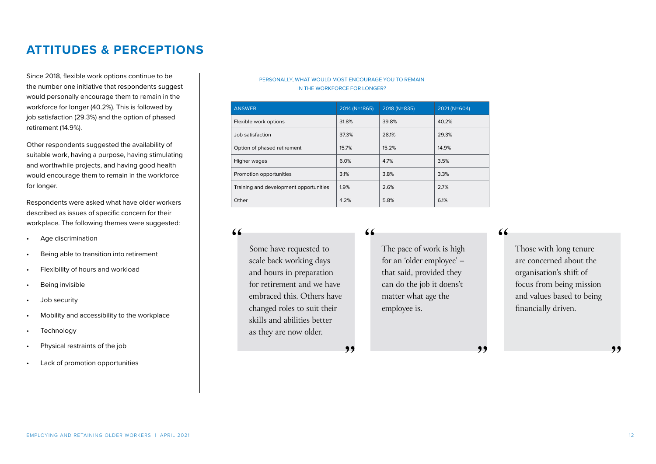Since 2018, flexible work options continue to be the number one initiative that respondents suggest would personally encourage them to remain in the workforce for longer (40.2%). This is followed by job satisfaction (29.3%) and the option of phased retirement (14.9%).

Other respondents suggested the availability of suitable work, having a purpose, having stimulating and worthwhile projects, and having good health would encourage them to remain in the workforce for longer.

Respondents were asked what have older workers described as issues of specific concern for their workplace. The following themes were suggested:

- Age discrimination
- Being able to transition into retirement
- Flexibility of hours and workload
- Being invisible
- Job security
- Mobility and accessibility to the workplace
- **Technology**
- Physical restraints of the job
- Lack of promotion opportunities

#### PERSONALLY, WHAT WOULD MOST ENCOURAGE YOU TO REMAIN IN THE WORKFORCE FOR LONGER?

| <b>ANSWER</b>                          | 2014 (N=1865) | 2018 (N=835) | 2021 (N=604) |
|----------------------------------------|---------------|--------------|--------------|
| Flexible work options                  | 31.8%         | 39.8%        | 40.2%        |
| Job satisfaction                       | 37.3%         | 28.1%        | 29.3%        |
| Option of phased retirement            | 15.7%         | 15.2%        | 14.9%        |
| Higher wages                           | 6.0%          | 4.7%         | 3.5%         |
| Promotion opportunities                | 3.1%          | 3.8%         | 3.3%         |
| Training and development opportunities | 1.9%          | 2.6%         | 2.7%         |
| Other                                  | 4.2%          | 5.8%         | 6.1%         |

"

,,

Some have requested to scale back working days and hours in preparation for retirement and we have embraced this. Others have changed roles to suit their skills and abilities better as they are now older.

 $66$ 

The pace of work is high for an 'older employee' – that said, provided they can do the job it doens't matter what age the employee is.

,,

"

Those with long tenure are concerned about the organisation's shift of focus from being mission and values based to being financially driven.

,,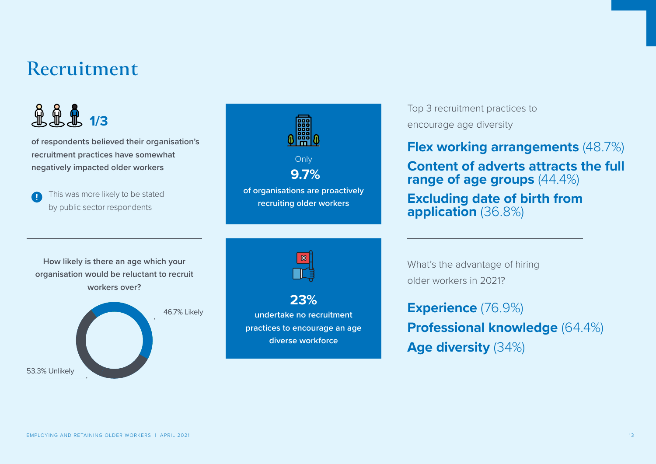## <span id="page-12-0"></span>**Recruitment**

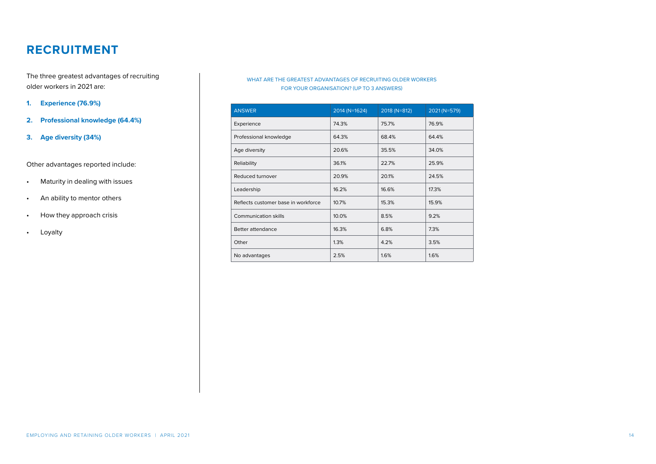The three greatest advantages of recruiting older workers in 2021 are:

#### **1. Experience (76.9%)**

- **2. Professional knowledge (64.4%)**
- **3. Age diversity (34%)**

#### Other advantages reported include:

- Maturity in dealing with issues
- An ability to mentor others
- How they approach crisis
- Loyalty

#### WHAT ARE THE GREATEST ADVANTAGES OF RECRUITING OLDER WORKERS FOR YOUR ORGANISATION? (UP TO 3 ANSWERS)

| <b>ANSWER</b>                       | 2014 (N=1624) | 2018 (N=812) | 2021 (N=579) |
|-------------------------------------|---------------|--------------|--------------|
| Experience                          | 74.3%         | 75.7%        | 76.9%        |
| Professional knowledge              | 64.3%         | 68.4%        | 64.4%        |
| Age diversity                       | 20.6%         | 35.5%        | 34.0%        |
| Reliability                         | 36.1%         | 22.7%        | 25.9%        |
| Reduced turnover                    | 20.9%         | 20.1%        | 24.5%        |
| Leadership                          | 16.2%         | 16.6%        | 17.3%        |
| Reflects customer base in workforce | 10.7%         | 15.3%        | 15.9%        |
| <b>Communication skills</b>         | 10.0%         | 8.5%         | 9.2%         |
| Better attendance                   | 16.3%         | 6.8%         | 7.3%         |
| Other                               | 1.3%          | 4.2%         | 3.5%         |
| No advantages                       | 2.5%          | 1.6%         | 1.6%         |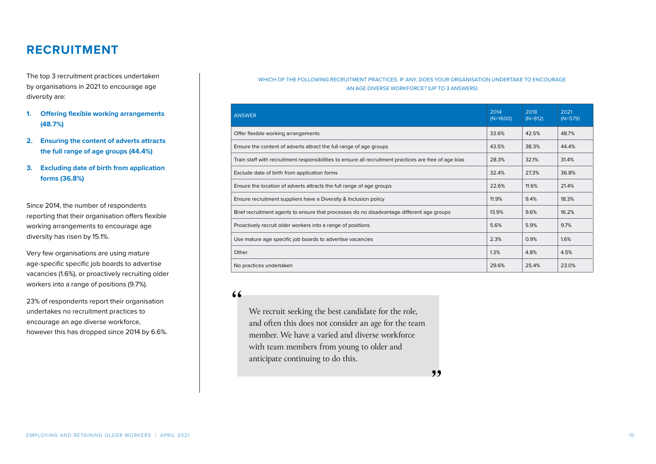The top 3 recruitment practices undertaken by organisations in 2021 to encourage age diversity are:

- **1. Offering flexible working arrangements (48.7%)**
- **2. Ensuring the content of adverts attracts the full range of age groups (44.4%)**
- **3. Excluding date of birth from application forms (36.8%)**

Since 2014, the number of respondents reporting that their organisation offers flexible working arrangements to encourage age diversity has risen by 15.1%.

Very few organisations are using mature age-specific specific job boards to advertise vacancies (1.6%), or proactively recruiting older workers into a range of positions (9.7%).

23% of respondents report their organisation undertakes no recruitment practices to encourage an age diverse workforce, however this has dropped since 2014 by 6.6%.

#### WHICH OF THE FOLLOWING RECRUITMENT PRACTICES, IF ANY, DOES YOUR ORGANISATION UNDERTAKE TO ENCOURAGE AN AGE DIVERSE WORKFORCE? (UP TO 3 ANSWERS)

| <b>ANSWER</b>                                                                                          | 2014<br>$(N=1600)$ | 2018<br>$(N=812)$ | 2021<br>$(N=579)$ |
|--------------------------------------------------------------------------------------------------------|--------------------|-------------------|-------------------|
| Offer flexible working arrangements                                                                    | 33.6%              | 42.5%             | 48.7%             |
| Ensure the content of adverts attract the full range of age groups                                     | 43.5%              | 38.3%             | 44.4%             |
| Train staff with recruitment responsibilities to ensure all recruitment practices are free of age bias | 28.3%              | 32.1%             | 31.4%             |
| Exclude date of birth from application forms                                                           | 32.4%              | 27.3%             | 36.8%             |
| Ensure the location of adverts attracts the full range of age groups                                   |                    | 11.6%             | 21.4%             |
| Ensure recruitment suppliers have a Diversity & Inclusion policy                                       |                    | 9.4%              | 18.3%             |
| Brief recruitment agents to ensure that processes do no disadvantage different age groups              | 13.9%              | 9.6%              | 16.2%             |
| Proactively recruit older workers into a range of positions                                            |                    | 5.9%              | 9.7%              |
| Use mature age specific job boards to advertise vacancies                                              | 2.3%               | 0.9%              | 1.6%              |
| Other                                                                                                  |                    | 4.8%              | 4.5%              |
| No practices undertaken                                                                                | 29.6%              | 25.4%             | 23.0%             |

 $66$ 

We recruit seeking the best candidate for the role, and often this does not consider an age for the team member. We have a varied and diverse workforce with team members from young to older and anticipate continuing to do this.

,,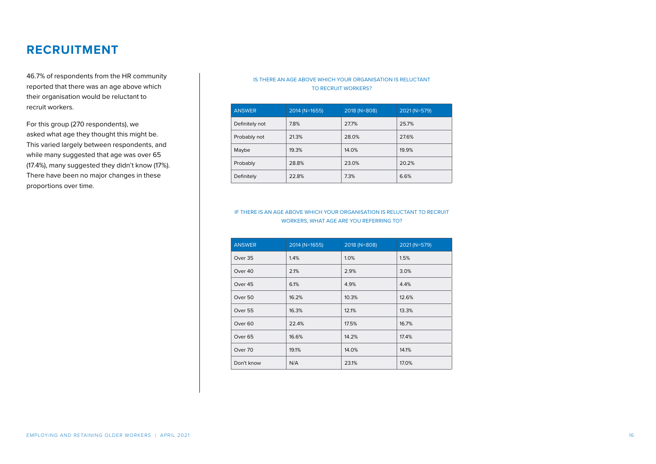46.7% of respondents from the HR community reported that there was an age above which their organisation would be reluctant to recruit workers.

For this group (270 respondents), we asked what age they thought this might be. This varied largely between respondents, and while many suggested that age was over 65 (17.4%), many suggested they didn't know (17%). There have been no major changes in these proportions over time.

#### IS THERE AN AGE ABOVE WHICH YOUR ORGANISATION IS RELUCTANT TO RECRUIT WORKERS?

| <b>ANSWER</b>  | 2014 (N=1655) | 2018 (N=808) | 2021 (N=579) |
|----------------|---------------|--------------|--------------|
| Definitely not | 7.8%          | 27.7%        | 25.7%        |
| Probably not   | 21.3%         | 28.0%        | 27.6%        |
| Maybe          | 19.3%         | 14.0%        | 19.9%        |
| Probably       | 28.8%         | 23.0%        | 20.2%        |
| Definitely     | 22.8%         | 7.3%         | 6.6%         |

#### IF THERE IS AN AGE ABOVE WHICH YOUR ORGANISATION IS RELUCTANT TO RECRUIT WORKERS, WHAT AGE ARE YOU REFERRING TO?

| <b>ANSWER</b>      | 2014 (N=1655) | 2018 (N=808) | 2021 (N=579) |
|--------------------|---------------|--------------|--------------|
| Over 35            | 1.4%          | 1.0%         | 1.5%         |
| Over 40            | 2.1%          | 2.9%         | 3.0%         |
| Over 45            | 6.1%          | 4.9%         | 4.4%         |
| Over 50            | 16.2%         | 10.3%        | 12.6%        |
| Over 55            | 16.3%         | 12.1%        | 13.3%        |
| Over <sub>60</sub> | 22.4%         | 17.5%        | 16.7%        |
| Over 65            | 16.6%         | 14.2%        | 17.4%        |
| Over 70            | 19.1%         | 14.0%        | 14.1%        |
| Don't know         | N/A           | 23.1%        | 17.0%        |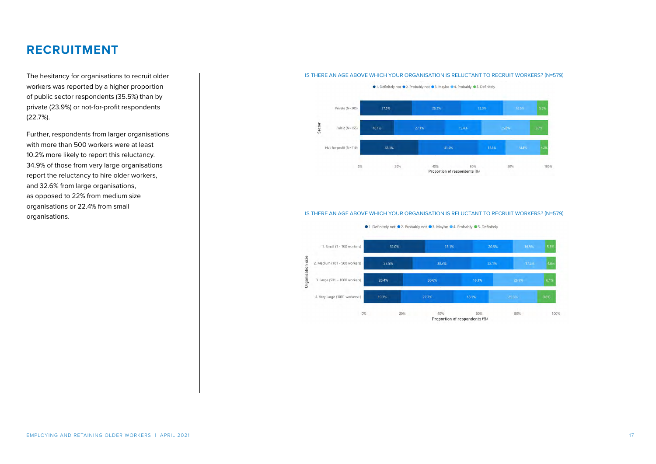The hesitancy for organisations to recruit older workers was reported by a higher proportion of public sector respondents (35.5%) than by private (23.9%) or not-for-profit respondents (22.7%).

Further, respondents from larger organisations with more than 500 workers were at least 10.2% more likely to report this reluctancy. 34.9% of those from very large organisations report the reluctancy to hire older workers, and 32.6% from large organisations, as opposed to 22% from medium size organisations or 22.4% from small organisations.

#### IS THERE AN AGE ABOVE WHICH YOUR ORGANISATION IS RELUCTANT TO RECRUIT WORKERS? (N=579)



#### IS THERE AN AGE ABOVE WHICH YOUR ORGANISATION IS RELUCTANT TO RECRUIT WORKERS? (N=579)

●1. Definitely not ●2. Probably not ●3. Maybe ●4. Probably ●5. Definitely



0% 20% 40% 60% 80% 100% Proportion of respondents (%)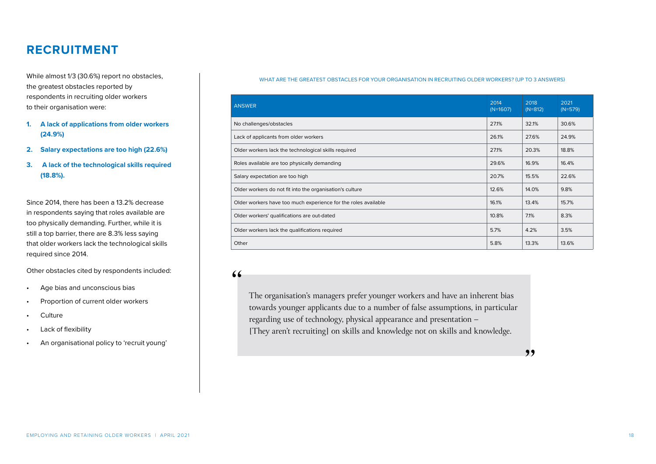While almost 1/3 (30.6%) report no obstacles, the greatest obstacles reported by respondents in recruiting older workers to their organisation were:

- **1. A lack of applications from older workers (24.9%)**
- **2. Salary expectations are too high (22.6%)**
- **3. A lack of the technological skills required (18.8%).**

Since 2014, there has been a 13.2% decrease in respondents saying that roles available are too physically demanding. Further, while it is still a top barrier, there are 8.3% less saying that older workers lack the technological skills required since 2014.

Other obstacles cited by respondents included:

- Age bias and unconscious bias
- Proportion of current older workers
- Culture
- Lack of flexibility
- An organisational policy to 'recruit young'

#### WHAT ARE THE GREATEST OBSTACLES FOR YOUR ORGANISATION IN RECRUITING OLDER WORKERS? (UP TO 3 ANSWERS)

| <b>ANSWER</b>                                                  | 2014<br>$(N=1607)$ | 2018<br>$(N=812)$ | 2021<br>$(N=579)$ |
|----------------------------------------------------------------|--------------------|-------------------|-------------------|
| No challenges/obstacles                                        | 27.1%              | 32.1%             | 30.6%             |
| Lack of applicants from older workers                          | 26.1%              | 27.6%             | 24.9%             |
| Older workers lack the technological skills required           | 27.1%              | 20.3%             | 18.8%             |
| Roles available are too physically demanding                   | 29.6%              | 16.9%             | 16.4%             |
| Salary expectation are too high                                | 20.7%              | 15.5%             | 22.6%             |
| Older workers do not fit into the organisation's culture       | 12.6%              | 14.0%             | 9.8%              |
| Older workers have too much experience for the roles available | 16.1%              | 13.4%             | 15.7%             |
| Older workers' qualifications are out-dated                    | 10.8%              | 7.1%              | 8.3%              |
| Older workers lack the qualifications required                 | 5.7%               | 4.2%              | 3.5%              |
| Other                                                          | 5.8%               | 13.3%             | 13.6%             |

#### $66$

The organisation's managers prefer younger workers and have an inherent bias towards younger applicants due to a number of false assumptions, in particular regarding use of technology, physical appearance and presentation – [They aren't recruiting] on skills and knowledge not on skills and knowledge.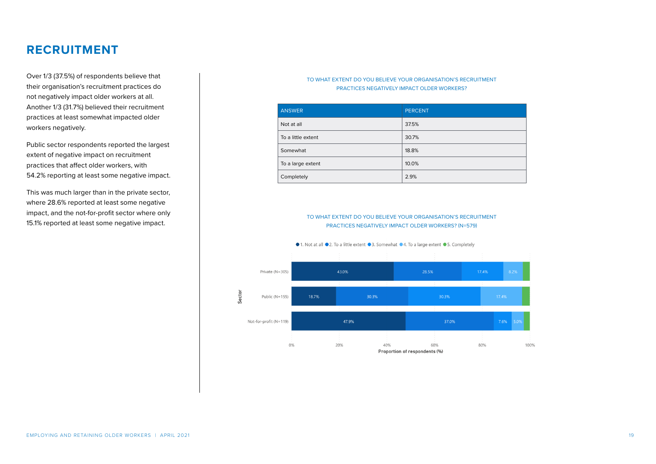Over 1/3 (37.5%) of respondents believe that their organisation's recruitment practices do not negatively impact older workers at all. Another 1/3 (31.7%) believed their recruitment practices at least somewhat impacted older workers negatively.

Public sector respondents reported the largest extent of negative impact on recruitment practices that affect older workers, with 54.2% reporting at least some negative impact.

This was much larger than in the private sector, where 28.6% reported at least some negative impact, and the not-for-profit sector where only 15.1% reported at least some negative impact.

#### TO WHAT EXTENT DO YOU BELIEVE YOUR ORGANISATION'S RECRUITMENT PRACTICES NEGATIVELY IMPACT OLDER WORKERS?

| <b>ANSWER</b>      | <b>PERCENT</b> |
|--------------------|----------------|
| Not at all         | 37.5%          |
| To a little extent | 30.7%          |
| Somewhat           | 18.8%          |
| To a large extent  | 10.0%          |
| Completely         | 2.9%           |

TO WHAT EXTENT DO YOU BELIEVE YOUR ORGANISATION'S RECRUITMENT PRACTICES NEGATIVELY IMPACT OLDER WORKERS? (N=579)



[EMPLOYING AND RETAINING OLDER WORKERS | APRIL 2021](https://www.ahri.com.au/resources/ahri-research/covid-19-and-hrs-wellbeing-report/#report) 19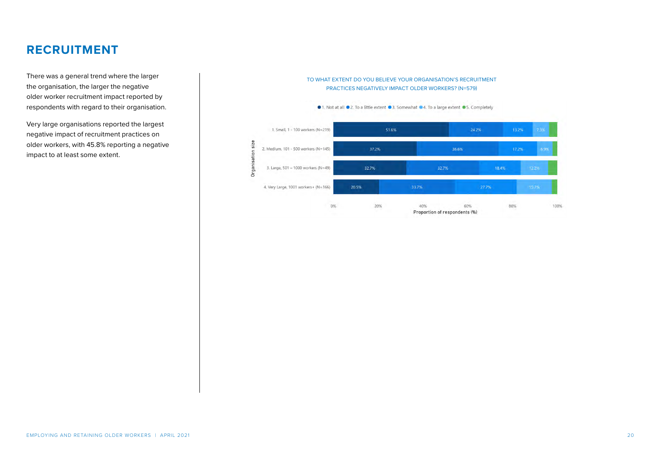There was a general trend where the larger the organisation, the larger the negative older worker recruitment impact reported by respondents with regard to their organisation.

Very large organisations reported the largest negative impact of recruitment practices on older workers, with 45.8% reporting a negative impact to at least some extent.

#### TO WHAT EXTENT DO YOU BELIEVE YOUR ORGANISATION'S RECRUITMENT PRACTICES NEGATIVELY IMPACT OLDER WORKERS? (N=579)



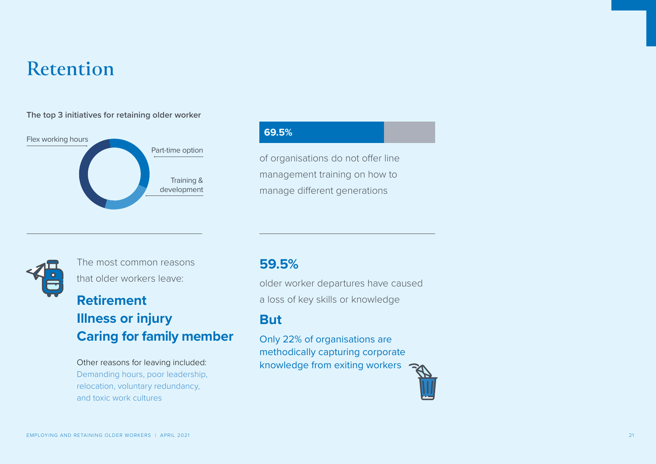## <span id="page-20-0"></span>**Retention**

#### **The top 3 initiatives for retaining older worker**



### **69.5%**

of organisations do not offer line management training on how to manage different generations



The most common reasons that older workers leave:

### **Retirement Illness or injury Caring for family member**

Other reasons for leaving included: Demanding hours, poor leadership, relocation, voluntary redundancy, and toxic work cultures

### **59.5%**

older worker departures have caused a loss of key skills or knowledge

### **But**

Only 22% of organisations are methodically capturing corporate knowledge from exiting workers

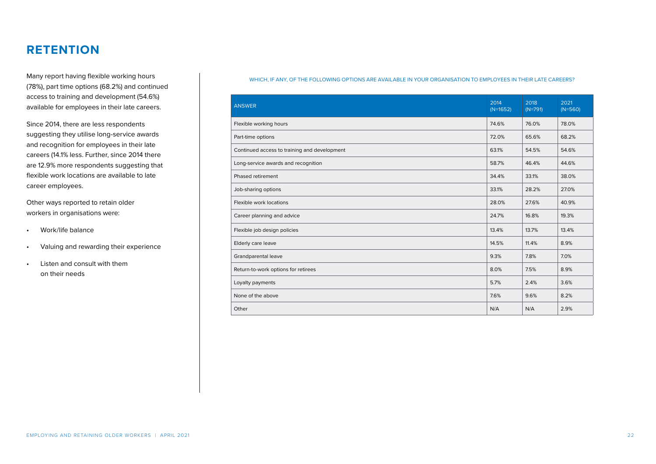Many report having flexible working hours (78%), part time options (68.2%) and continued access to training and development (54.6%) available for employees in their late careers.

Since 2014, there are less respondents suggesting they utilise long-service awards and recognition for employees in their late careers (14.1% less. Further, since 2014 there are 12.9% more respondents suggesting that flexible work locations are available to late career employees.

Other ways reported to retain older workers in organisations were:

- Work/life balance
- Valuing and rewarding their experience
- Listen and consult with them on their needs

#### WHICH, IF ANY, OF THE FOLLOWING OPTIONS ARE AVAILABLE IN YOUR ORGANISATION TO EMPLOYEES IN THEIR LATE CAREERS?

| <b>ANSWER</b>                                | 2014<br>$(N=1652)$ | 2018<br>$(N=791)$ | 2021<br>$(N=560)$ |
|----------------------------------------------|--------------------|-------------------|-------------------|
| Flexible working hours                       | 74.6%              | 76.0%             | 78.0%             |
| Part-time options                            | 72.0%              | 65.6%             | 68.2%             |
| Continued access to training and development | 63.1%              | 54.5%             | 54.6%             |
| Long-service awards and recognition          | 58.7%              | 46.4%             | 44.6%             |
| Phased retirement                            | 34.4%              | 33.1%             | 38.0%             |
| Job-sharing options                          | 33.1%              | 28.2%             | 27.0%             |
| Flexible work locations                      | 28.0%              | 27.6%             | 40.9%             |
| Career planning and advice                   | 24.7%              | 16.8%             | 19.3%             |
| Flexible job design policies                 | 13.4%              | 13.7%             | 13.4%             |
| Elderly care leave                           | 14.5%              | 11.4%             | 8.9%              |
| Grandparental leave                          | 9.3%               | 7.8%              | 7.0%              |
| Return-to-work options for retirees          | 8.0%               | 7.5%              | 8.9%              |
| Loyalty payments                             | 5.7%               | 2.4%              | 3.6%              |
| None of the above                            | 7.6%               | 9.6%              | 8.2%              |
| Other                                        | N/A                | N/A               | 2.9%              |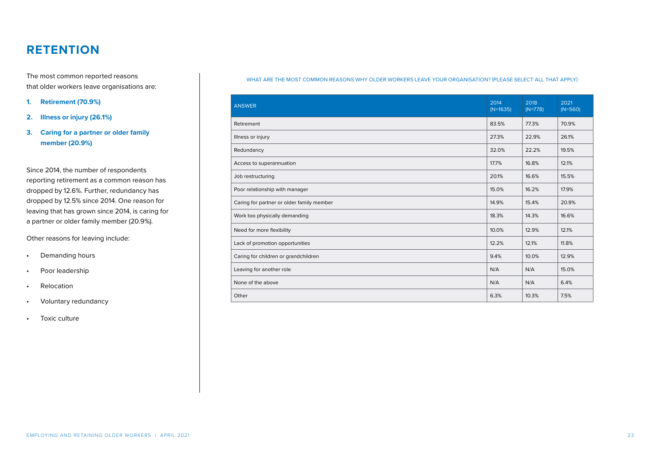The most common reported reasons that older workers leave organisations are:

- **1. Retirement (70.9%)**
- **2. Illness or injury (26.1%)**

#### **3. Caring for a partner or older family member (20.9%)**

Since 2014, the number of respondents reporting retirement as a common reason has dropped by 12.6%. Further, redundancy has dropped by 12.5% since 2014. One reason for leaving that has grown since 2014, is caring for a partner or older family member (20.9%).

Other reasons for leaving include:

- Demanding hours
- Poor leadership
- Relocation
- Voluntary redundancy
- Toxic culture

#### WHAT ARE THE MOST COMMON REASONS WHY OLDER WORKERS LEAVE YOUR ORGANISATION? (PLEASE SELECT ALL THAT APPLY)

| <b>ANSWER</b>                             | 2014<br>$(N=1635)$ | 2018<br>$(N=778)$ | 2021<br>$(N=560)$ |
|-------------------------------------------|--------------------|-------------------|-------------------|
| Retirement                                | 83.5%              | 77.3%             | 70.9%             |
| Illness or injury                         | 27.3%              | 22.9%             | 26.1%             |
| Redundancy                                | 32.0%              | 22.2%             | 19.5%             |
| Access to superannuation                  | 17.7%              | 16.8%             | 12.1%             |
| Job restructuring                         | 20.1%              | 16.6%             | 15.5%             |
| Poor relationship with manager            | 15.0%              | 16.2%             | 17.9%             |
| Caring for partner or older family member | 14.9%              | 15.4%             | 20.9%             |
| Work too physically demanding             | 18.3%              | 14.3%             | 16.6%             |
| Need for more flexibility                 | 10.0%              | 12.9%             | 12.1%             |
| Lack of promotion opportunities           | 12.2%              | 12.1%             | 11.8%             |
| Caring for children or grandchildren      | 9.4%               | 10.0%             | 12.9%             |
| Leaving for another role                  | N/A                | N/A               | 15.0%             |
| None of the above                         | N/A                | N/A               | 6.4%              |
| Other                                     | 6.3%               | 10.3%             | 7.5%              |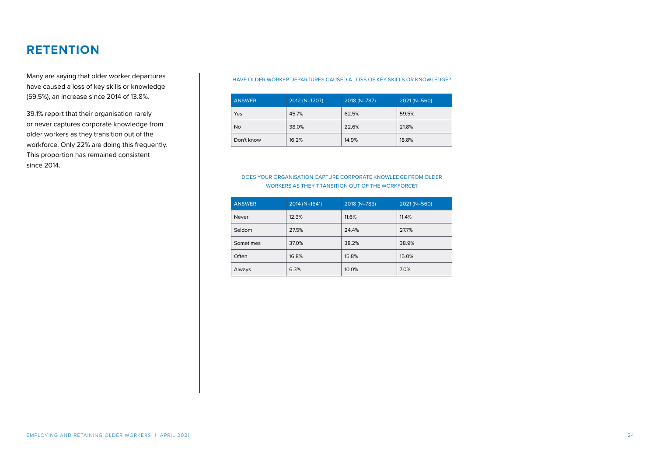Many are saying that older worker departures have caused a loss of key skills or knowledge (59.5%), an increase since 2014 of 13.8%.

39.1% report that their organisation rarely or never captures corporate knowledge from older workers as they transition out of the workforce. Only 22% are doing this frequently. This proportion has remained consistent since 2014.

#### HAVE OLDER WORKER DEPARTURES CAUSED A LOSS OF KEY SKILLS OR KNOWLEDGE?

| <b>ANSWER</b> | $2012 (N=1207)$ | 2018 (N=787) | 2021 (N=560) |
|---------------|-----------------|--------------|--------------|
| Yes           | 45.7%           | 62.5%        | 59.5%        |
| <b>No</b>     | 38.0%           | 22.6%        | 21.8%        |
| Don't know    | 16.2%           | 14.9%        | 18.8%        |

#### DOES YOUR ORGANISATION CAPTURE CORPORATE KNOWLEDGE FROM OLDER WORKERS AS THEY TRANSITION OUT OF THE WORKFORCE?

| <b>ANSWER</b> | $2014$ (N=1641) | 2018 (N=783) | 2021 (N=560) |
|---------------|-----------------|--------------|--------------|
| Never         | 12.3%           | 11.6%        | 11.4%        |
| Seldom        | 27.5%           | 24.4%        | 27.7%        |
| Sometimes     | 37.0%           | 38.2%        | 38.9%        |
| Often         | 16.8%           | 15.8%        | 15.0%        |
| Always        | 6.3%            | 10.0%        | 7.0%         |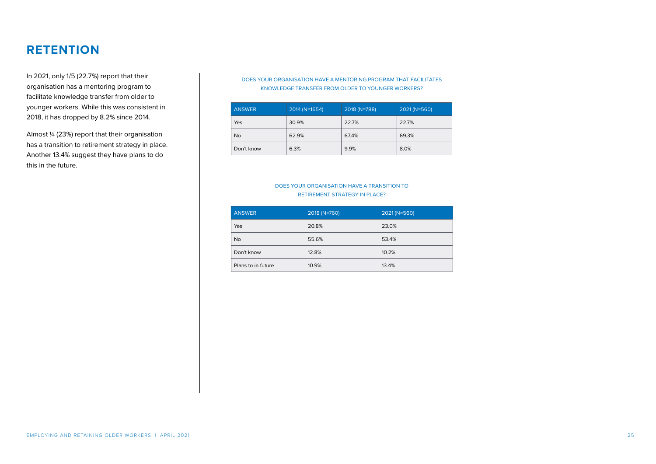In 2021, only 1/5 (22.7%) report that their organisation has a mentoring program to facilitate knowledge transfer from older to younger workers. While this was consistent in 2018, it has dropped by 8.2% since 2014.

Almost ¼ (23%) report that their organisation has a transition to retirement strategy in place. Another 13.4% suggest they have plans to do this in the future.

#### DOES YOUR ORGANISATION HAVE A MENTORING PROGRAM THAT FACILITATES KNOWLEDGE TRANSFER FROM OLDER TO YOUNGER WORKERS?

| <b>ANSWER</b> | $2014 (N=1654)$ | 2018 (N=788) | 2021 (N=560) |
|---------------|-----------------|--------------|--------------|
| Yes           | 30.9%           | 22.7%        | 22.7%        |
| <b>No</b>     | 62.9%           | 67.4%        | 69.3%        |
| Don't know    | 6.3%            | 9.9%         | 8.0%         |

#### DOES YOUR ORGANISATION HAVE A TRANSITION TO RETIREMENT STRATEGY IN PLACE?

| <b>ANSWER</b>      | 2018 (N=760) | $2021(N=560)$ |
|--------------------|--------------|---------------|
| Yes                | 20.8%        | 23.0%         |
| <b>No</b>          | 55.6%        | 53.4%         |
| Don't know         | 12.8%        | 10.2%         |
| Plans to in future | 10.9%        | 13.4%         |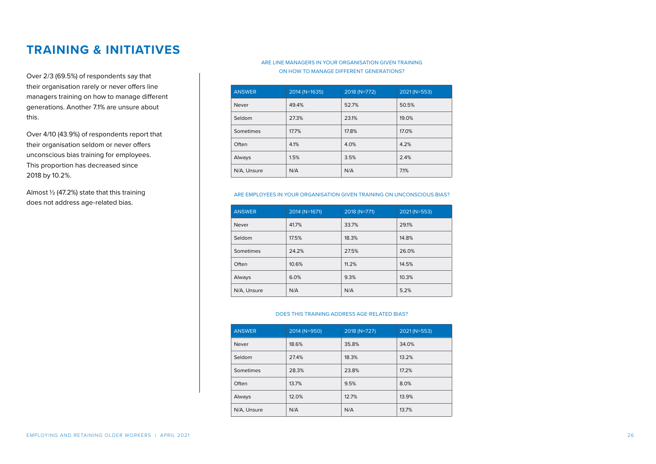### <span id="page-25-0"></span>**TRAINING & INITIATIVES**

Over 2/3 (69.5%) of respondents say that their organisation rarely or never offers line managers training on how to manage different generations. Another 7.1% are unsure about this.

Over 4/10 (43.9%) of respondents report that their organisation seldom or never offers unconscious bias training for employees. This proportion has decreased since 2018 by 10.2%.

Almost ½ (47.2%) state that this training does not address age-related bias.

#### ARE LINE MANAGERS IN YOUR ORGANISATION GIVEN TRAINING ON HOW TO MANAGE DIFFERENT GENERATIONS?

| <b>ANSWER</b> | 2014 (N=1635) | 2018 (N=772) | 2021 (N=553) |
|---------------|---------------|--------------|--------------|
| Never         | 49.4%         | 52.7%        | 50.5%        |
| Seldom        | 27.3%         | 23.1%        | 19.0%        |
| Sometimes     | 17.7%         | 17.8%        | 17.0%        |
| Often         | 4.1%          | 4.0%         | 4.2%         |
| Always        | 1.5%          | 3.5%         | 2.4%         |
| N/A, Unsure   | N/A           | N/A          | 7.1%         |

#### ARE EMPLOYEES IN YOUR ORGANISATION GIVEN TRAINING ON UNCONSCIOUS BIAS?

| <b>ANSWER</b> | 2014 (N=1671) | 2018 (N=771) | 2021 (N=553) |
|---------------|---------------|--------------|--------------|
| Never         | 41.7%         | 33.7%        | 29.1%        |
| Seldom        | 17.5%         | 18.3%        | 14.8%        |
| Sometimes     | 24.2%         | 27.5%        | 26.0%        |
| Often         | 10.6%         | 11.2%        | 14.5%        |
| Always        | 6.0%          | 9.3%         | 10.3%        |
| N/A. Unsure   | N/A           | N/A          | 5.2%         |

#### DOES THIS TRAINING ADDRESS AGE-RELATED BIAS?

| <b>ANSWER</b> | 2014 (N=950) | $2018$ (N=727) | 2021 (N=553) |
|---------------|--------------|----------------|--------------|
| Never         | 18.6%        | 35.8%          | 34.0%        |
| Seldom        | 27.4%        | 18.3%          | 13.2%        |
| Sometimes     | 28.3%        | 23.8%          | 17.2%        |
| Often         | 13.7%        | 9.5%           | 8.0%         |
| Always        | 12.0%        | 12.7%          | 13.9%        |
| N/A. Unsure   | N/A          | N/A            | 13.7%        |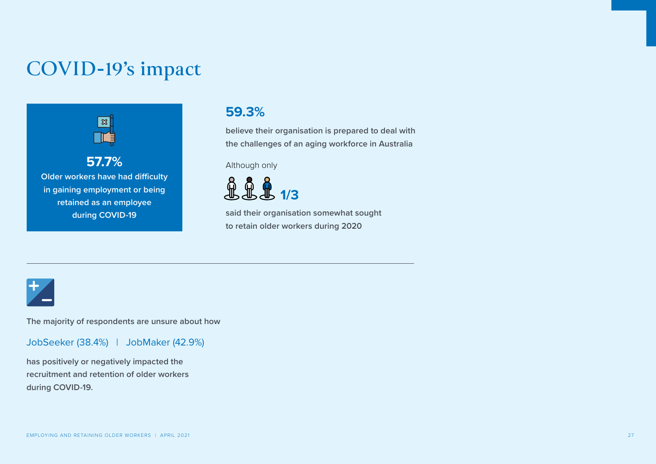## <span id="page-26-0"></span>**COVID-19's impact**



**Older workers have had difficulty in gaining employment or being retained as an employee during COVID-19**

### **59.3%**

**believe their organisation is prepared to deal with the challenges of an aging workforce in Australia** 

Although only



**said their organisation somewhat sought to retain older workers during 2020** 



**The majority of respondents are unsure about how**

JobSeeker (38.4%) | JobMaker (42.9%)

**has positively or negatively impacted the recruitment and retention of older workers during COVID-19.**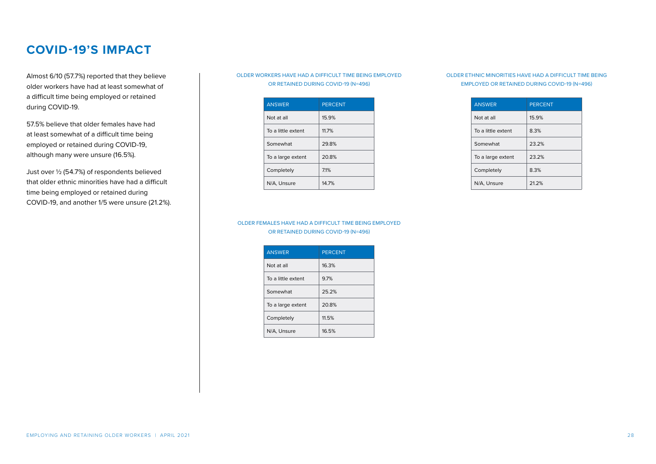Almost 6/10 (57.7%) reported that they believe older workers have had at least somewhat of a difficult time being employed or retained during COVID-19.

57.5% believe that older females have had at least somewhat of a difficult time being employed or retained during COVID-19, although many were unsure (16.5%).

Just over ½ (54.7%) of respondents believed that older ethnic minorities have had a difficult time being employed or retained during COVID-19, and another 1/5 were unsure (21.2%).

#### OLDER WORKERS HAVE HAD A DIFFICULT TIME BEING EMPLOYED OR RETAINED DURING COVID-19 (N=496)

| <b>ANSWER</b>      | <b>PERCENT</b> |
|--------------------|----------------|
| Not at all         | 15.9%          |
| To a little extent | 11.7%          |
| Somewhat           | 29.8%          |
| To a large extent  | 20.8%          |
| Completely         | 71%            |
| N/A. Unsure        | 147%           |

#### OLDER ETHNIC MINORITIES HAVE HAD A DIFFICULT TIME BEING EMPLOYED OR RETAINED DURING COVID-19 (N=496)

| <b>ANSWER</b>      | <b>PERCENT</b> |
|--------------------|----------------|
| Not at all         | 15.9%          |
| To a little extent | 8.3%           |
| Somewhat           | 23.2%          |
| To a large extent  | 23.2%          |
| Completely         | 8.3%           |
| N/A. Unsure        | 212%           |

#### OLDER FEMALES HAVE HAD A DIFFICULT TIME BEING EMPLOYED OR RETAINED DURING COVID-19 (N=496)

| <b>ANSWER</b>      | <b>PERCENT</b> |
|--------------------|----------------|
| Not at all         | 16.3%          |
| To a little extent | 9.7%           |
| Somewhat           | 25.2%          |
| To a large extent  | 20.8%          |
| Completely         | 11.5%          |
| N/A. Unsure        | 16.5%          |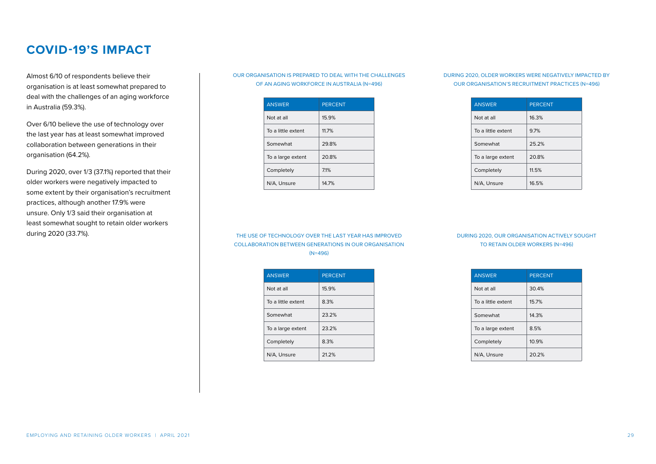Almost 6/10 of respondents believe their organisation is at least somewhat prepared to deal with the challenges of an aging workforce in Australia (59.3%).

Over 6/10 believe the use of technology over the last year has at least somewhat improved collaboration between generations in their organisation (64.2%).

During 2020, over 1/3 (37.1%) reported that their older workers were negatively impacted to some extent by their organisation's recruitment practices, although another 17.9% were unsure. Only 1/3 said their organisation at least somewhat sought to retain older workers during 2020 (33.7%).

#### OUR ORGANISATION IS PREPARED TO DEAL WITH THE CHALLENGES OF AN AGING WORKFORCE IN AUSTRALIA (N=496)

| <b>ANSWER</b>      | <b>PERCENT</b> |
|--------------------|----------------|
| Not at all         | 15.9%          |
| To a little extent | 117%           |
| Somewhat           | 29.8%          |
| To a large extent  | 20.8%          |
| Completely         | 71%            |
| N/A. Unsure        | 147%           |

#### DURING 2020, OLDER WORKERS WERE NEGATIVELY IMPACTED BY OUR ORGANISATION'S RECRUITMENT PRACTICES (N=496)

| <b>ANSWER</b>      | <b>PERCENT</b> |
|--------------------|----------------|
| Not at all         | 16.3%          |
| To a little extent | 9.7%           |
| Somewhat           | 25.2%          |
| To a large extent  | 20.8%          |
| Completely         | 11.5%          |
| N/A, Unsure        | 16.5%          |

#### THE USE OF TECHNOLOGY OVER THE LAST YEAR HAS IMPROVED COLLABORATION BETWEEN GENERATIONS IN OUR ORGANISATION (N=496)

| <b>ANSWER</b>      | <b>PERCENT</b> |
|--------------------|----------------|
| Not at all         | 15.9%          |
| To a little extent | 8.3%           |
| Somewhat           | 232%           |
| To a large extent  | 23.2%          |
| Completely         | 8.3%           |
| N/A, Unsure        | 212%           |

#### DURING 2020, OUR ORGANISATION ACTIVELY SOUGHT TO RETAIN OLDER WORKERS (N=496)

| <b>ANSWER</b>      | <b>PERCENT</b> |
|--------------------|----------------|
| Not at all         | 30.4%          |
| To a little extent | 15.7%          |
| Somewhat           | 14.3%          |
| To a large extent  | 8.5%           |
| Completely         | 10.9%          |
| N/A. Unsure        | 20.2%          |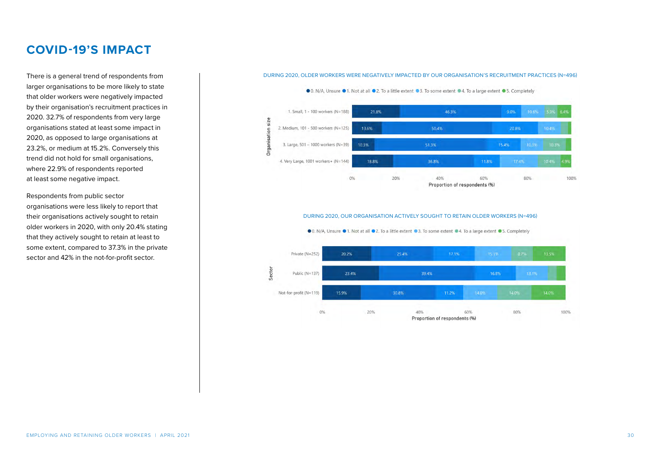larger organisations to be more likely to state that older workers were negatively impacted by their organisation's recruitment practices in 2020. 32.7% of respondents from very large organisations stated at least some impact in 2020, as opposed to large organisations at 23.2%, or medium at 15.2%. Conversely this trend did not hold for small organisations, where 22.9% of respondents reported at least some negative impact.

Respondents from public sector organisations were less likely to report that their organisations actively sought to retain older workers in 2020, with only 20.4% stating that they actively sought to retain at least to some extent, compared to 37.3% in the private sector and 42% in the not-for-profit sector.

#### There is a general trend of respondents from **DURING 2020, OLDER WORKERS WERE NEGATIVELY IMPACTED BY OUR ORGANISATION'S RECRUITMENT PRACTICES (N=496)**



### DURING 2020, OUR ORGANISATION ACTIVELY SOUGHT TO RETAIN OLDER WORKERS (N=496)

● 0, N/A, Unsure ● 1, Not at all ● 2, To a little extent ● 3, To some extent ● 4, To a large extent ● 5, Completely

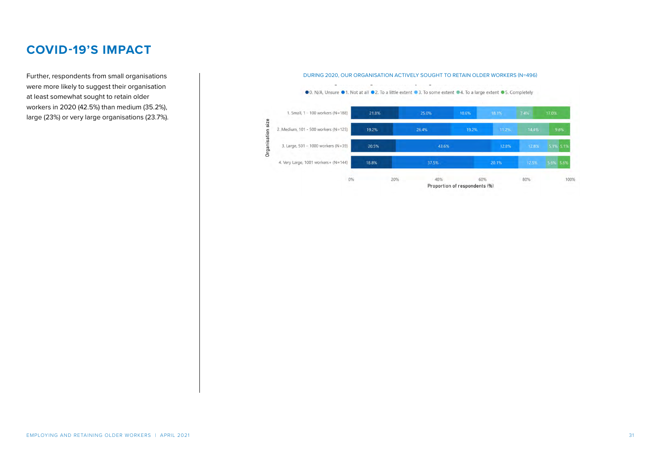Further, respondents from small organisations were more likely to suggest their organisation at least somewhat sought to retain older workers in 2020 (42.5%) than medium (35.2%), large (23%) or very large organisations (23.7%).

#### .<br>ביש המוכר המשפח המוכר המוכר המוכר המוכר המוכר המוכר המוכר המוכר המוכר המוכר המוכר המוכר המוכר המוכר המוכר המוכ<br>המוכר המוכר המוכר המוכר המוכר המוכר המוכר המוכר המוכר המוכר המוכר המוכר המוכר המוכר המוכר המוכר המוכר המוכר  $\sim$ ● 0. N/A, Unsure ● 1. Not at all ● 2. To a little extent ● 3. To some extent ● 4. To a large extent ● 5. Completely 1. Small, 1 - 100 workers (N=188) 21.8% 25.0% Organisation size 2. Medium, 101 - 500 workers (N=125) 19.2% 26.4% 9.6% 3. Large, 501 - 1000 workers (N=39) 20.5% 43.6% 5.1% 5.19 4. Very Large, 1001 workers+ ( $N=144$ ) 37.5% 5.6% 5.6% 18.8% 20.1% 20% 40% 60% 100%  $0%$ 80% Proportion of respondents (%)

#### DURING 2020, OUR ORGANISATION ACTIVELY SOUGHT TO RETAIN OLDER WORKERS (N=496)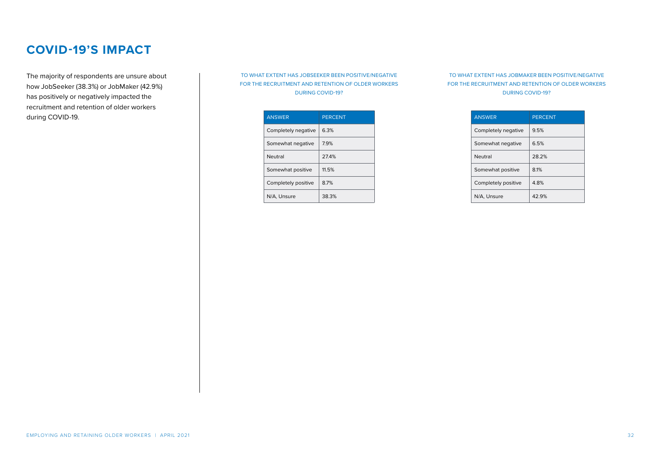The majority of respondents are unsure about how JobSeeker (38.3%) or JobMaker (42.9%) has positively or negatively impacted the recruitment and retention of older workers during COVID-19.

#### TO WHAT EXTENT HAS JOBSEEKER BEEN POSITIVE/NEGATIVE FOR THE RECRUITMENT AND RETENTION OF OLDER WORKERS DURING COVID-19?

| <b>ANSWER</b>       | <b>PERCENT</b> |
|---------------------|----------------|
| Completely negative | 6.3%           |
| Somewhat negative   | 79%            |
| Neutral             | 274%           |
| Somewhat positive   | 115%           |
| Completely positive | 87%            |
| N/A. Unsure         | 38.3%          |

#### TO WHAT EXTENT HAS JOBMAKER BEEN POSITIVE/NEGATIVE FOR THE RECRUITMENT AND RETENTION OF OLDER WORKERS DURING COVID-19?

| <b>ANSWER</b>       | <b>PERCENT</b> |
|---------------------|----------------|
| Completely negative | 9.5%           |
| Somewhat negative   | 6.5%           |
| Neutral             | 28.2%          |
| Somewhat positive   | 8.1%           |
| Completely positive | 48%            |
| N/A. Unsure         | 42.9%          |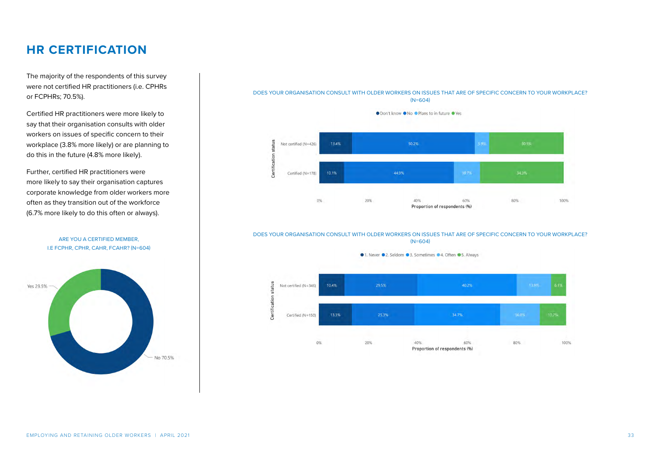### <span id="page-32-0"></span>**HR CERTIFICATION**

The majority of the respondents of this survey were not certified HR practitioners (i.e. CPHRs or FCPHRs; 70.5%).

Certified HR practitioners were more likely to say that their organisation consults with older workers on issues of specific concern to their workplace (3.8% more likely) or are planning to do this in the future (4.8% more likely).

Further, certified HR practitioners were more likely to say their organisation captures corporate knowledge from older workers more often as they transition out of the workforce (6.7% more likely to do this often or always).



#### ARE YOU A CERTIFIED MEMBER, I.E FCPHR, CPHR, CAHR, FCAHR? (N=604)

#### DOES YOUR ORGANISATION CONSULT WITH OLDER WORKERS ON ISSUES THAT ARE OF SPECIFIC CONCERN TO YOUR WORKPLACE? (N=604)

● Don't know ● No ● Plans to in future ● Yes



#### DOES YOUR ORGANISATION CONSULT WITH OLDER WORKERS ON ISSUES THAT ARE OF SPECIFIC CONCERN TO YOUR WORKPLACE?  $(N=604)$